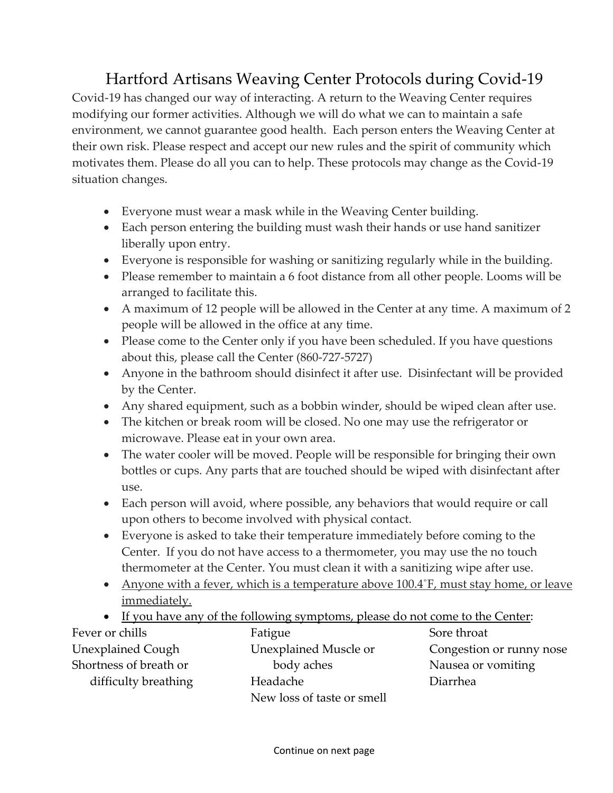## Hartford Artisans Weaving Center Protocols during Covid‐19

Covid‐19 has changed our way of interacting. A return to the Weaving Center requires modifying our former activities. Although we will do what we can to maintain a safe environment, we cannot guarantee good health. Each person enters the Weaving Center at their own risk. Please respect and accept our new rules and the spirit of community which motivates them. Please do all you can to help. These protocols may change as the Covid‐19 situation changes.

- Everyone must wear a mask while in the Weaving Center building.
- Each person entering the building must wash their hands or use hand sanitizer liberally upon entry.
- Everyone is responsible for washing or sanitizing regularly while in the building.
- Please remember to maintain a 6 foot distance from all other people. Looms will be arranged to facilitate this.
- A maximum of 12 people will be allowed in the Center at any time. A maximum of 2 people will be allowed in the office at any time.
- Please come to the Center only if you have been scheduled. If you have questions about this, please call the Center (860‐727‐5727)
- Anyone in the bathroom should disinfect it after use. Disinfectant will be provided by the Center.
- Any shared equipment, such as a bobbin winder, should be wiped clean after use.
- The kitchen or break room will be closed. No one may use the refrigerator or microwave. Please eat in your own area.
- The water cooler will be moved. People will be responsible for bringing their own bottles or cups. Any parts that are touched should be wiped with disinfectant after use.
- Each person will avoid, where possible, any behaviors that would require or call upon others to become involved with physical contact.
- Everyone is asked to take their temperature immediately before coming to the Center. If you do not have access to a thermometer, you may use the no touch thermometer at the Center. You must clean it with a sanitizing wipe after use.
- Anyone with a fever, which is a temperature above 100.4°F, must stay home, or leave immediately.
- If you have any of the following symptoms, please do not come to the Center:

| Fever or chills          | Fatigue                    | Sore throat              |
|--------------------------|----------------------------|--------------------------|
| <b>Unexplained Cough</b> | Unexplained Muscle or      | Congestion or runny nose |
| Shortness of breath or   | body aches                 | Nausea or vomiting       |
| difficulty breathing     | Headache                   | Diarrhea                 |
|                          | New loss of taste or smell |                          |